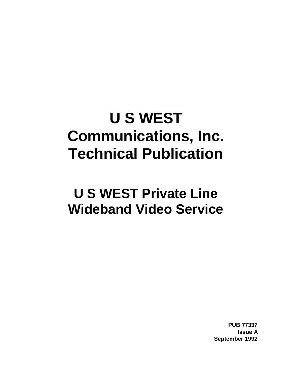# **U S WEST Communications, Inc. Technical Publication**

# **U S WEST Private Line Wideband Video Service**

**PUB 77337 Issue A September 1992**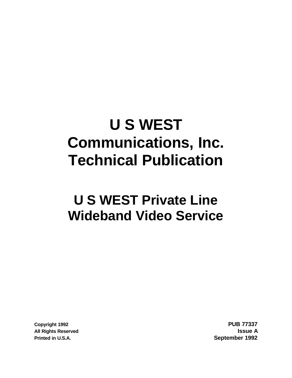# **U S WEST Communications, Inc. Technical Publication**

# **U S WEST Private Line Wideband Video Service**

**Printed in U.S.A. September 1992**

**Copyright 1992 PUB 77337 All Rights Reserved Issue A**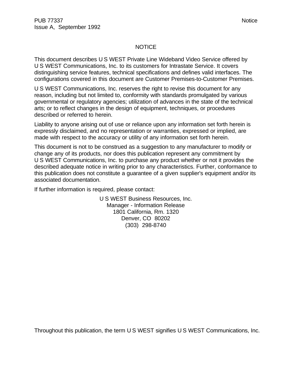#### NOTICE

This document describes U S WEST Private Line Wideband Video Service offered by U S WEST Communications, Inc. to its customers for Intrastate Service. It covers distinguishing service features, technical specifications and defines valid interfaces. The configurations covered in this document are Customer Premises-to-Customer Premises.

U S WEST Communications, Inc. reserves the right to revise this document for any reason, including but not limited to, conformity with standards promulgated by various governmental or regulatory agencies; utilization of advances in the state of the technical arts; or to reflect changes in the design of equipment, techniques, or procedures described or referred to herein.

Liability to anyone arising out of use or reliance upon any information set forth herein is expressly disclaimed, and no representation or warranties, expressed or implied, are made with respect to the accuracy or utility of any information set forth herein.

This document is not to be construed as a suggestion to any manufacturer to modify or change any of its products, nor does this publication represent any commitment by U S WEST Communications, Inc. to purchase any product whether or not it provides the described adequate notice in writing prior to any characteristics. Further, conformance to this publication does not constitute a guarantee of a given supplier's equipment and/or its associated documentation.

If further information is required, please contact:

U S WEST Business Resources, Inc. Manager - Information Release 1801 California, Rm. 1320 Denver, CO 80202 (303) 298-8740

Throughout this publication, the term U S WEST signifies U S WEST Communications, Inc.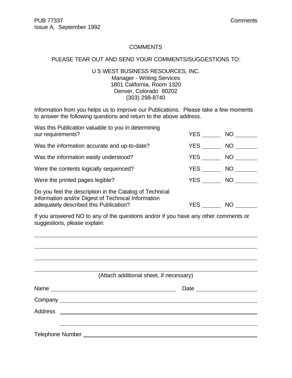# **COMMENTS**

# PLEASE TEAR OUT AND SEND YOUR COMMENTS/SUGGESTIONS TO:

# U S WEST BUSINESS RESOURCES, INC. Manager - Writing Services 1801 California, Room 1320 Denver, Colorado 80202 (303) 298-8740

Information from you helps us to improve our Publications. Please take a few moments to answer the following questions and return to the above address.

| Was this Publication valuable to you in determining<br>our requirements?                                                                                | YES        | NO .      |  |
|---------------------------------------------------------------------------------------------------------------------------------------------------------|------------|-----------|--|
| Was the information accurate and up-to-date?                                                                                                            | YES        | NO        |  |
| Was the information easily understood?                                                                                                                  | YES        | NO        |  |
| Were the contents logically sequenced?                                                                                                                  | YES        | NO        |  |
| Were the printed pages legible?                                                                                                                         | <b>YES</b> | NO.       |  |
| Do you feel the description in the Catalog of Technical<br>Information and/or Digest of Technical Information<br>adequately described this Publication? | YES.       | <b>NO</b> |  |

If you answered NO to any of the questions and/or if you have any other comments or suggestions, please explain:

| (Attach additional sheet, if necessary)                                    |  |
|----------------------------------------------------------------------------|--|
| Name                                                                       |  |
|                                                                            |  |
|                                                                            |  |
|                                                                            |  |
| Telephone Number National Account of the Contract of Telephone Number 2014 |  |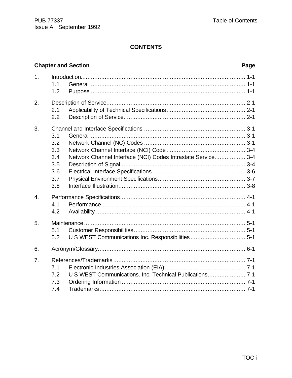# **CONTENTS**

# **Chapter and Section**

# Page

| 1.               | 1.1<br>1.2                                           |                                                              |
|------------------|------------------------------------------------------|--------------------------------------------------------------|
| 2.               | 2.1<br>2.2                                           |                                                              |
| 3.               | 3.1<br>3.2<br>3.3<br>3.4<br>3.5<br>3.6<br>3.7<br>3.8 | Network Channel Interface (NCI) Codes Intrastate Service 3-4 |
| $\overline{4}$ . | 4.1<br>4.2                                           |                                                              |
| 5.               | 5.1<br>5.2                                           |                                                              |
| 6.               |                                                      |                                                              |
| $\overline{7}$ . | 7.1<br>7.2<br>7.3<br>7.4                             | U S WEST Communications. Inc. Technical Publications 7-1     |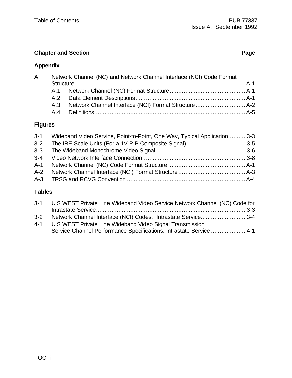# **Chapter and Section Page**

# **Appendix**

| А. | Network Channel (NC) and Network Channel Interface (NCI) Code Format |  |
|----|----------------------------------------------------------------------|--|
|    |                                                                      |  |
|    |                                                                      |  |
|    |                                                                      |  |
|    |                                                                      |  |
|    |                                                                      |  |

# **Figures**

| 3-1 Wideband Video Service, Point-to-Point, One Way, Typical Application 3-3 |  |
|------------------------------------------------------------------------------|--|
|                                                                              |  |
|                                                                              |  |
|                                                                              |  |
|                                                                              |  |
|                                                                              |  |
|                                                                              |  |

# **Tables**

| 3-1 U S WEST Private Line Wideband Video Service Network Channel (NC) Code for |  |
|--------------------------------------------------------------------------------|--|
|                                                                                |  |
|                                                                                |  |
| 4-1 U S WEST Private Line Wideband Video Signal Transmission                   |  |
| Service Channel Performance Specifications, Intrastate Service  4-1            |  |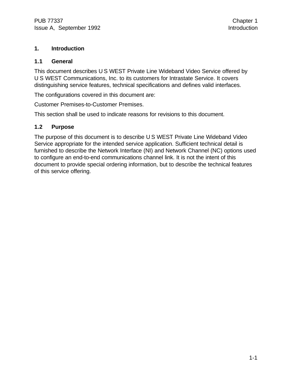# **1. Introduction**

# **1.1 General**

This document describes U S WEST Private Line Wideband Video Service offered by U S WEST Communications, Inc. to its customers for Intrastate Service. It covers distinguishing service features, technical specifications and defines valid interfaces.

The configurations covered in this document are:

Customer Premises-to-Customer Premises.

This section shall be used to indicate reasons for revisions to this document.

# **1.2 Purpose**

The purpose of this document is to describe U S WEST Private Line Wideband Video Service appropriate for the intended service application. Sufficient technical detail is furnished to describe the Network Interface (NI) and Network Channel (NC) options used to configure an end-to-end communications channel link. It is not the intent of this document to provide special ordering information, but to describe the technical features of this service offering.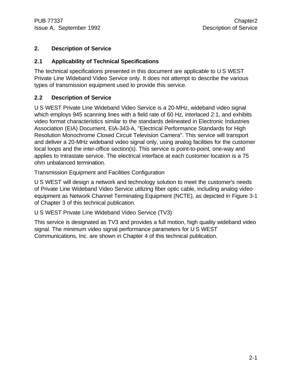# **2. Description of Service**

# **2.1 Applicability of Technical Specifications**

The technical specifications presented in this document are applicable to U S WEST Private Line Wideband Video Service only. It does not attempt to describe the various types of transmission equipment used to provide this service.

# **2.2 Description of Service**

U S WEST Private Line Wideband Video Service is a 20-MHz, wideband video signal which employs 945 scanning lines with a field rate of 60 Hz, interlaced 2:1, and exhibits video format characteristics similar to the standards delineated in Electronic Industries Association (EIA) Document, EIA-343-A, "Electrical Performance Standards for High Resolution Monochrome Closed Circuit Television Camera". This service will transport and deliver a 20-MHz wideband video signal only, using analog facilities for the customer local loops and the inter-office section(s). This service is point-to-point, one-way and applies to Intrastate service. The electrical interface at each customer location is a 75 ohm unbalanced termination.

Transmission Equipment and Facilities Configuration

U S WEST will design a network and technology solution to meet the customer's needs of Private Line Wideband Video Service utilizing fiber optic cable, including analog video equipment as Network Channel Terminating Equipment (NCTE), as depicted in Figure 3-1 of Chapter 3 of this technical publication.

U S WEST Private Line Wideband Video Service (TV3)

This service is designated as TV3 and provides a full motion, high quality wideband video signal. The minimum video signal performance parameters for U S WEST Communications, Inc. are shown in Chapter 4 of this technical publication.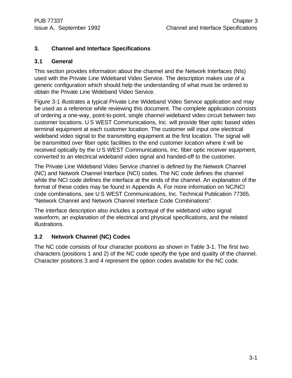# **3. Channel and Interface Specifications**

# **3.1 General**

This section provides information about the channel and the Network Interfaces (NIs) used with the Private Line Wideband Video Service. The description makes use of a generic configuration which should help the understanding of what must be ordered to obtain the Private Line Wideband Video Service.

Figure 3-1 illustrates a typical Private Line Wideband Video Service application and may be used as a reference while reviewing this document. The complete application consists of ordering a one-way, point-to-point, single channel wideband video circuit between two customer locations. U S WEST Communications, Inc. will provide fiber optic based video terminal equipment at each customer location. The customer will input one electrical wideband video signal to the transmitting equipment at the first location. The signal will be transmitted over fiber optic facilities to the end customer location where it will be received optically by the U S WEST Communications, Inc. fiber optic receiver equipment, converted to an electrical wideband video signal and handed-off to the customer.

The Private Line Wideband Video Service channel is defined by the Network Channel (NC) and Network Channel Interface (NCI) codes. The NC code defines the channel while the NCI code defines the interface at the ends of the channel. An explanation of the format of these codes may be found in Appendix A. For more information on NC/NCI code combinations, see U S WEST Communications, Inc. Technical Publication 77365, "Network Channel and Network Channel Interface Code Combinations".

The interface description also includes a portrayal of the wideband video signal waveform, an explanation of the electrical and physical specifications, and the related illustrations.

# **3.2 Network Channel (NC) Codes**

The NC code consists of four character positions as shown in Table 3-1. The first two characters (positions 1 and 2) of the NC code specify the type and quality of the channel. Character positions 3 and 4 represent the option codes available for the NC code.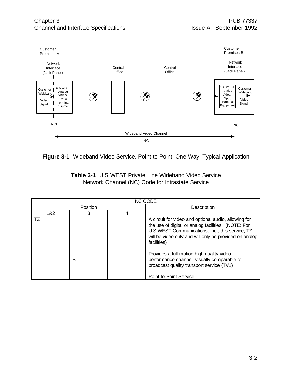



|  | <b>Table 3-1 U S WEST Private Line Wideband Video Service</b> |
|--|---------------------------------------------------------------|
|  | Network Channel (NC) Code for Intrastate Service              |

| <b>NC CODE</b> |          |   |                                                                                                                                                                                                                                                                                                                                                                                   |
|----------------|----------|---|-----------------------------------------------------------------------------------------------------------------------------------------------------------------------------------------------------------------------------------------------------------------------------------------------------------------------------------------------------------------------------------|
|                | Position |   | <b>Description</b>                                                                                                                                                                                                                                                                                                                                                                |
| 1&2            | 3        | 4 |                                                                                                                                                                                                                                                                                                                                                                                   |
| TZ             | B        |   | A circuit for video and optional audio, allowing for<br>the use of digital or analog facilities. (NOTE: For<br>U S WEST Communications, Inc., this service, TZ,<br>will be video only and will only be provided on analog<br>facilities)<br>Provides a full-motion high-quality video<br>performance channel, visually comparable to<br>broadcast quality transport service (TV1) |
|                |          |   | <b>Point-to-Point Service</b>                                                                                                                                                                                                                                                                                                                                                     |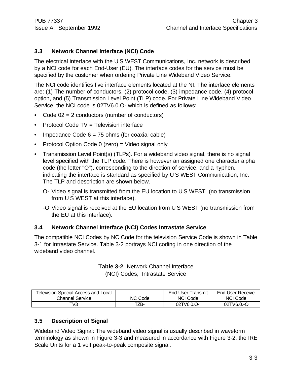# **3.3 Network Channel Interface (NCI) Code**

The electrical interface with the U S WEST Communications, Inc. network is described by a NCI code for each End-User (EU). The interface codes for the service must be specified by the customer when ordering Private Line Wideband Video Service.

The NCI code identifies five interface elements located at the NI. The interface elements are: (1) The number of conductors, (2) protocol code, (3) impedance code, (4) protocol option, and (5) Transmission Level Point (TLP) code. For Private Line Wideband Video Service, the NCI code is 02TV6.0.O- which is defined as follows:

- Code 02 = 2 conductors (number of conductors)
- Protocol Code TV = Television interface
- Impedance Code  $6 = 75$  ohms (for coaxial cable)
- Protocol Option Code 0 (zero) = Video signal only
- Transmission Level Point(s) (TLPs). For a wideband video signal, there is no signal level specified with the TLP code. There is however an assigned one character alpha code (the letter "O"), corresponding to the direction of service, and a hyphen, indicating the interface is standard as specified by U S WEST Communication, Inc. The TLP and description are shown below.
	- O- Video signal is transmitted from the EU location to U S WEST (no transmission from U S WEST at this interface).
	- -O Video signal is received at the EU location from U S WEST (no transmission from the EU at this interface).

# **3.4 Network Channel Interface (NCI) Codes Intrastate Service**

The compatible NCI Codes by NC Code for the television Service Code is shown in Table 3-1 for Intrastate Service. Table 3-2 portrays NCI coding in one direction of the wideband video channel.

| Television Special Access and Local |         | End-User Transmit | End-User Receive |
|-------------------------------------|---------|-------------------|------------------|
| <b>Channel Service</b>              | NC Code | NCI Code          | NCI Code         |
| TV3.                                | TZB-    | 02TV6.0.O-        | 02TV6.0.-O       |

# **Table 3-2** Network Channel Interface (NCI) Codes, Intrastate Service

# **3.5 Description of Signal**

Wideband Video Signal: The wideband video signal is usually described in waveform terminology as shown in Figure 3-3 and measured in accordance with Figure 3-2, the IRE Scale Units for a 1 volt peak-to-peak composite signal.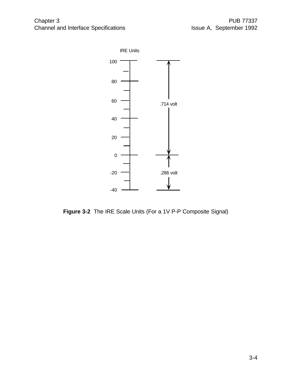

**Figure 3-2** The IRE Scale Units (For a 1V P-P Composite Signal)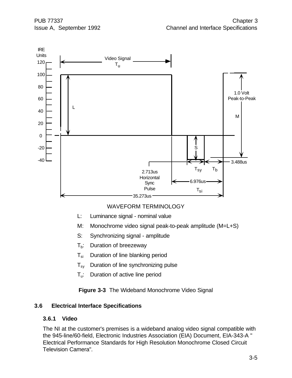

WAVEFORM TERMINOLOGY

- L: Luminance signal nominal value
- M: Monochrome video signal peak-to-peak amplitude (M=L+S)
- S: Synchronizing signal amplitude
- $T_b$ : Duration of breezeway
- $T_{si}$  Duration of line blanking period
- $T_{sv}$  Duration of line synchronizing pulse
- T<sub>u</sub>: Duration of active line period

**Figure 3-3** The Wideband Monochrome Video Signal

# **3.6 Electrical Interface Specifications**

# **3.6.1 Video**

The NI at the customer's premises is a wideband analog video signal compatible with the 945-line/60-field, Electronic Industries Association (EIA) Document, EIA-343-A " Electrical Performance Standards for High Resolution Monochrome Closed Circuit Television Camera".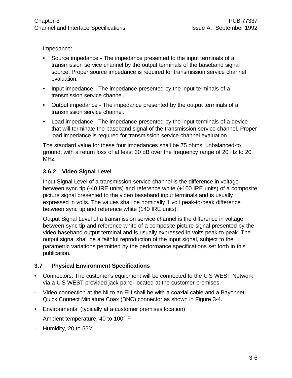Impedance:

- Source impedance The impedance presented to the input terminals of a transmission service channel by the output terminals of the baseband signal source. Proper source impedance is required for transmission service channel evaluation.
- Input impedance The impedance presented by the input terminals of a transmission service channel.
- Output impedance The impedance presented by the output terminals of a transmission service channel.
- Load impedance The impedance presented by the input terminals of a device that will terminate the baseband signal of the transmission service channel. Proper load impedance is required for transmission service channel evaluation.

The standard value for these four impedances shall be 75 ohms, unbalanced-to ground, with a return loss of at least 30 dB over the frequency range of 20 Hz to 20 MHz.

# **3.6.2 Video Signal Level**

Input Signal Level of a transmission service channel is the difference in voltage between sync tip (-40 IRE units) and reference white (+100 IRE units) of a composite picture signal presented to the video baseband input terminals and is usually expressed in volts. The values shall be nominally 1 volt peak-to-peak difference between sync tip and reference white (140 IRE units).

Output Signal Level of a transmission service channel is the difference in voltage between sync tip and reference white of a composite picture signal presented by the video baseband output terminal and is usually expressed in volts peak-to-peak. The output signal shall be a faithful reproduction of the input signal, subject to the parametric variations permitted by the performance specifications set forth in this publication.

# **3.7 Physical Environment Specifications**

- Connectors: The customer's equipment will be connected to the U S WEST Network via a U S WEST provided jack panel located at the customer premises.
- Video connection at the NI to an EU shall be with a coaxial cable and a Bayonnet Quick Connect Miniature Coax (BNC) connector as shown in Figure 3-4.
- Environmental (typically at a customer premises location)
- Ambient temperature, 40 to 100° F
- Humidity, 20 to 55%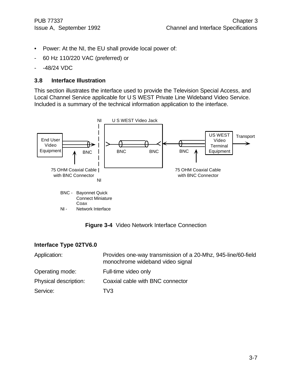- Power: At the NI, the EU shall provide local power of:
- 60 Hz 110/220 VAC (preferred) or
- -48/24 VDC

# **3.8 Interface Illustration**

This section illustrates the interface used to provide the Television Special Access, and Local Channel Service applicable for U S WEST Private Line Wideband Video Service. Included is a summary of the technical information application to the interface.





# **Interface Type 02TV6.0**

| Application:          | Provides one-way transmission of a 20-Mhz, 945-line/60-field<br>monochrome wideband video signal |
|-----------------------|--------------------------------------------------------------------------------------------------|
| Operating mode:       | Full-time video only                                                                             |
| Physical description: | Coaxial cable with BNC connector                                                                 |
| Service:              | TV3.                                                                                             |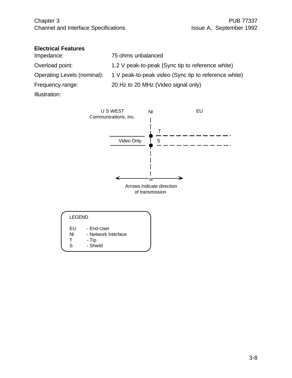# **Electrical Features**

| Impedance:                  | 75 ohms unbalanced                                   |
|-----------------------------|------------------------------------------------------|
| Overload point:             | 1.2 V peak-to-peak (Sync tip to reference white)     |
| Operating Levels (nominal): | 1 V peak-to-peak video (Sync tip to reference white) |
| Frequency range:            | 20 Hz to 20 MHz (Video signal only)                  |
| Illustration:               |                                                      |



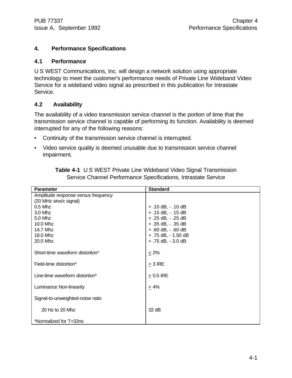# **4. Performance Specifications**

#### **4.1 Performance**

U S WEST Communications, Inc. will design a network solution using appropriate technology to meet the customer's performance needs of Private Line Wideband Video Service for a wideband video signal as prescribed in this publication for Intrastate Service.

# **4.2 Availability**

The availability of a video transmission service channel is the portion of time that the transmission service channel is capable of performing its function. Availability is deemed interrupted for any of the following reasons:

- Continuity of the transmission service channel is interrupted.
- Video service quality is deemed unusable due to transmission service channel impairment.

| <b>Parameter</b>                    | <b>Standard</b>        |
|-------------------------------------|------------------------|
| Amplitude response versus frequency |                        |
| (20 MHz sinx/x signal)              |                        |
| $0.5$ Mhz                           | $+ .10$ dB, $- .10$ dB |
| 3.0 Mhz                             | $+ .15$ dB, $- .15$ dB |
| 5.0 Mhz                             | + .25 dB, - .25 dB     |
| 10.0 Mhz                            | + .35 dB, - .35 dB     |
| 14.7 Mhz                            | + .60 dB, - .60 dB     |
| 18.0 Mhz                            | + .75 dB, - 1.50 dB    |
| 20.0 Mhz                            | $+ .75$ dB, $- 3.0$ dB |
| Short-time waveform distortion*     | $\leq 2\%$             |
| Field-time distortion*              | $<$ 3 IRE              |
| Line-time waveform distortion*      | $< 0.5$ IRE            |
| Luminance Non-linearity             | $< 4\%$                |
| Signal-to-unweighted-noise ratio    |                        |
| 20 Hz to 20 Mhz                     | 32 dB                  |
| *Normalized for T=33ns              |                        |

**Table 4-1** U S WEST Private Line Wideband Video Signal Transmission Service Channel Performance Specifications, Intrastate Service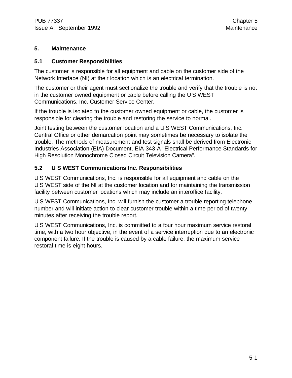# **5. Maintenance**

# **5.1 Customer Responsibilities**

The customer is responsible for all equipment and cable on the customer side of the Network Interface (NI) at their location which is an electrical termination.

The customer or their agent must sectionalize the trouble and verify that the trouble is not in the customer owned equipment or cable before calling the U S WEST Communications, Inc. Customer Service Center.

If the trouble is isolated to the customer owned equipment or cable, the customer is responsible for clearing the trouble and restoring the service to normal.

Joint testing between the customer location and a U S WEST Communications, Inc. Central Office or other demarcation point may sometimes be necessary to isolate the trouble. The methods of measurement and test signals shall be derived from Electronic Industries Association (EIA) Document, EIA-343-A "Electrical Performance Standards for High Resolution Monochrome Closed Circuit Television Camera".

# **5.2 U S WEST Communications Inc. Responsibilities**

U S WEST Communications, Inc. is responsible for all equipment and cable on the U S WEST side of the NI at the customer location and for maintaining the transmission facility between customer locations which may include an interoffice facility.

U S WEST Communications, Inc. will furnish the customer a trouble reporting telephone number and will initiate action to clear customer trouble within a time period of twenty minutes after receiving the trouble report.

U S WEST Communications, Inc. is committed to a four hour maximum service restoral time, with a two hour objective, in the event of a service interruption due to an electronic component failure. If the trouble is caused by a cable failure, the maximum service restoral time is eight hours.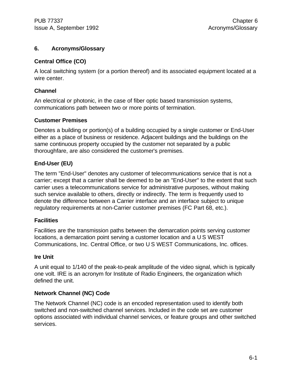# **6. Acronyms/Glossary**

# **Central Office (CO)**

A local switching system (or a portion thereof) and its associated equipment located at a wire center.

# **Channel**

An electrical or photonic, in the case of fiber optic based transmission systems, communications path between two or more points of termination.

# **Customer Premises**

Denotes a building or portion(s) of a building occupied by a single customer or End-User either as a place of business or residence. Adjacent buildings and the buildings on the same continuous property occupied by the customer not separated by a public thoroughfare, are also considered the customer's premises.

# **End-User (EU)**

The term "End-User" denotes any customer of telecommunications service that is not a carrier; except that a carrier shall be deemed to be an "End-User" to the extent that such carrier uses a telecommunications service for administrative purposes, without making such service available to others, directly or indirectly. The term is frequently used to denote the difference between a Carrier interface and an interface subject to unique regulatory requirements at non-Carrier customer premises (FC Part 68, etc.).

# **Facilities**

Facilities are the transmission paths between the demarcation points serving customer locations, a demarcation point serving a customer location and a U S WEST Communications, Inc. Central Office, or two U S WEST Communications, Inc. offices.

# **Ire Unit**

A unit equal to 1/140 of the peak-to-peak amplitude of the video signal, which is typically one volt. IRE is an acronym for Institute of Radio Engineers, the organization which defined the unit.

# **Network Channel (NC) Code**

The Network Channel (NC) code is an encoded representation used to identify both switched and non-switched channel services. Included in the code set are customer options associated with individual channel services, or feature groups and other switched services.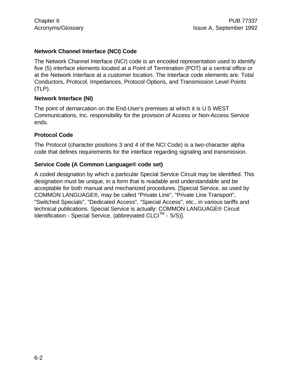# **Network Channel Interface (NCI) Code**

The Network Channel Interface (NCI) code is an encoded representation used to identify five (5) interface elements located at a Point of Termination (POT) at a central office or at the Network Interface at a customer location. The Interface code elements are: Total Conductors, Protocol, Impedances, Protocol Options, and Transmission Level Points (TLP).

# **Network Interface (NI)**

The point of demarcation on the End-User's premises at which it is U S WEST Communications, Inc. responsibility for the provision of Access or Non-Access Service ends.

# **Protocol Code**

The Protocol (character positions 3 and 4 of the NCI Code) is a two-character alpha code that defines requirements for the interface regarding signaling and transmission.

# **Service Code (A Common Language® code set)**

A coded designation by which a particular Special Service Circuit may be identified. This designation must be unique, in a form that is readable and understandable and be acceptable for both manual and mechanized procedures. [Special Service, as used by COMMON LANGUAGE®, may be called "Private Line", "Private Line Transport", "Switched Specials", "Dedicated Access", "Special Access", etc., in various tariffs and technical publications. Special Service is actually: COMMON LANGUAGE® Circuit Identification - Special Service, (abbreviated CLCI<sup>™</sup> - S/S)].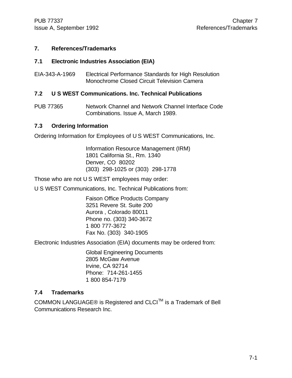# **7. References/Trademarks**

# **7.1 Electronic Industries Association (EIA)**

EIA-343-A-1969 Electrical Performance Standards for High Resolution Monochrome Closed Circuit Television Camera

# **7.2 U S WEST Communications. Inc. Technical Publications**

PUB 77365 Network Channel and Network Channel Interface Code Combinations. Issue A, March 1989.

#### **7.3 Ordering Information**

Ordering Information for Employees of U S WEST Communications, Inc.

Information Resource Management (IRM) 1801 California St., Rm. 1340 Denver, CO 80202 (303) 298-1025 or (303) 298-1778

Those who are not U S WEST employees may order:

U S WEST Communications, Inc. Technical Publications from:

Faison Office Products Company 3251 Revere St. Suite 200 Aurora , Colorado 80011 Phone no. (303) 340-3672 1 800 777-3672 Fax No. (303) 340-1905

Electronic Industries Association (EIA) documents may be ordered from:

Global Engineering Documents 2805 McGaw Avenue Irvine, CA 92714 Phone: 714-261-1455 1 800 854-7179

# **7.4 Trademarks**

COMMON LANGUAGE® is Registered and CLCI<sup>™</sup> is a Trademark of Bell Communications Research Inc.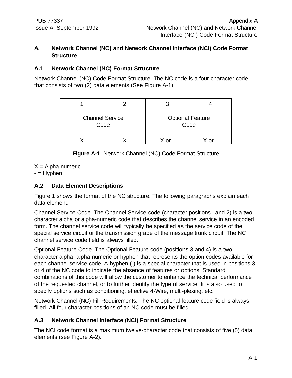# **A. Network Channel (NC) and Network Channel Interface (NCI) Code Format Structure**

# **A.1 Network Channel (NC) Format Structure**

Network Channel (NC) Code Format Structure. The NC code is a four-character code that consists of two (2) data elements (See Figure A-1).

| <b>Channel Service</b><br>Code | <b>Optional Feature</b><br>Code |  |  |  |  |
|--------------------------------|---------------------------------|--|--|--|--|
|                                |                                 |  |  |  |  |

**Figure A-1** Network Channel (NC) Code Format Structure

 $X =$  Alpha-numeric

- = Hyphen

# **A.2 Data Element Descriptions**

Figure 1 shows the format of the NC structure. The following paragraphs explain each data element.

Channel Service Code. The Channel Service code (character positions l and 2) is a two character alpha or alpha-numeric code that describes the channel service in an encoded form. The channel service code will typically be specified as the service code of the special service circuit or the transmission grade of the message trunk circuit. The NC channel service code field is always filled.

Optional Feature Code. The Optional Feature code (positions 3 and 4) is a twocharacter alpha, alpha-numeric or hyphen that represents the option codes available for each channel service code. A hyphen (-) is a special character that is used in positions 3 or 4 of the NC code to indicate the absence of features or options. Standard combinations of this code will allow the customer to enhance the technical performance of the requested channel, or to further identify the type of service. It is also used to specify options such as conditioning, effective 4-Wire, multi-plexing, etc.

Network Channel (NC) Fill Requirements. The NC optional feature code field is always filled. All four character positions of an NC code must be filled.

# **A.3 Network Channel Interface (NCI) Format Structure**

The NCI code format is a maximum twelve-character code that consists of five (5) data elements (see Figure A-2).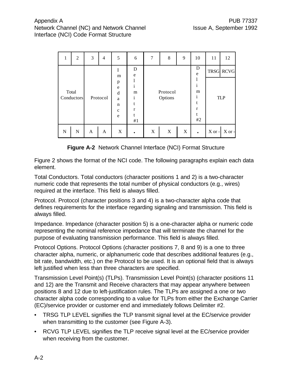| 1                   | 2 | 3 | $\overline{4}$ | 5 | 6                                                     | 7 | 8                         | 9 | 10                                               | 11 | 12                             |
|---------------------|---|---|----------------|---|-------------------------------------------------------|---|---------------------------|---|--------------------------------------------------|----|--------------------------------|
| Total<br>Conductors |   |   | Protocol       |   | D<br>$\mathbf e$<br>$\mathbf{i}$<br>m<br>1<br>r<br>#1 |   | Protocol<br>Options       |   | D<br>e<br>$\mathbf{1}$<br>m<br>i<br>t<br>r<br>#2 |    | <b>TRSG RCVG</b><br><b>TLP</b> |
| N                   | N | A | A              | X |                                                       | X | $\boldsymbol{\mathrm{X}}$ | X | $\bullet$                                        |    | $X$ or - $X$ or -              |

**Figure A-2** Network Channel Interface (NCI) Format Structure

Figure 2 shows the format of the NCI code. The following paragraphs explain each data element.

Total Conductors. Total conductors (character positions 1 and 2) is a two-character numeric code that represents the total number of physical conductors (e.g., wires) required at the interface. This field is always filled.

Protocol. Protocol (character positions 3 and 4) is a two-character alpha code that defines requirements for the interface regarding signaling and transmission. This field is always filled.

Impedance. Impedance (character position 5) is a one-character alpha or numeric code representing the nominal reference impedance that will terminate the channel for the purpose of evaluating transmission performance. This field is always filled.

Protocol Options. Protocol Options (character positions 7, 8 and 9) is a one to three character alpha, numeric, or alphanumeric code that describes additional features (e.g., bit rate, bandwidth, etc.) on the Protocol to be used. It is an optional field that is always left justified when less than three characters are specified.

Transmission Level Point(s) (TLPs). Transmission Level Point(s) (character positions 11 and 12) are the Transmit and Receive characters that may appear anywhere between positions 8 and 12 due to left-justification rules. The TLPs are assigned a one or two character alpha code corresponding to a value for TLPs from either the Exchange Carrier (EC)/service provider or customer end and immediately follows Delimiter #2.

- TRSG TLP LEVEL signifies the TLP transmit signal level at the EC/service provider when transmitting to the customer (see Figure A-3).
- RCVG TLP LEVEL signifies the TLP receive signal level at the EC/service provider when receiving from the customer.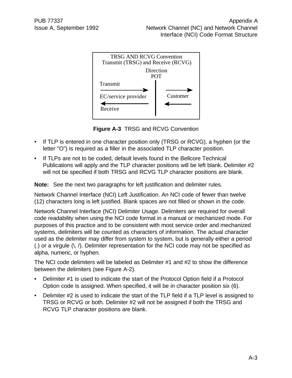

**Figure A-3** TRSG and RCVG Convention

- If TLP is entered in one character position only (TRSG or RCVG), a hyphen (or the letter "O") is required as a filler in the associated TLP character position.
- If TLPs are not to be coded, default levels found in the Bellcore Technical Publications will apply and the TLP character positions will be left blank. Delimiter #2 will not be specified if both TRSG and RCVG TLP character positions are blank.

**Note:** See the next two paragraphs for left justification and delimiter rules.

Network Channel Interface (NCI) Left Justification. An NCI code of fewer than twelve (12) characters long is left justified. Blank spaces are not filled or shown in the code.

Network Channel Interface (NCI) Delimiter Usage. Delimiters are required for overall code readability when using the NCI code format in a manual or mechanized mode. For purposes of this practice and to be consistent with most service order and mechanized systems, delimiters will be counted as characters of information. The actual character used as the delimiter may differ from system to system, but is generally either a period (.) or a virgule (\, /). Delimiter representation for the NCI code may not be specified as alpha, numeric, or hyphen.

The NCI code delimiters will be labeled as Delimiter #1 and #2 to show the difference between the delimiters (see Figure A-2).

- Delimiter #1 is used to indicate the start of the Protocol Option field if a Protocol Option code is assigned. When specified, it will be in character position six (6).
- Delimiter #2 is used to indicate the start of the TLP field if a TLP level is assigned to TRSG or RCVG or both. Delimiter #2 will not be assigned if both the TRSG and RCVG TLP character positions are blank.